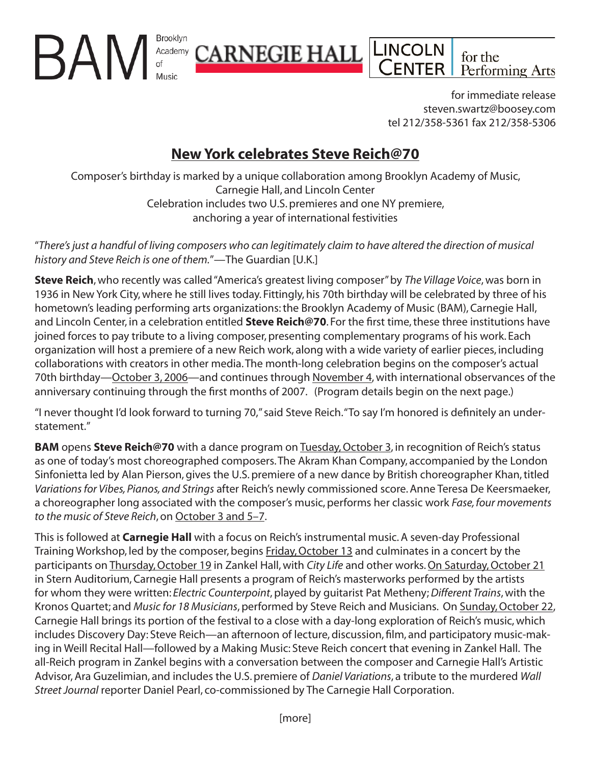for immediate release steven.swartz@boosey.com tel 212/358-5361 fax 212/358-5306

for the

Performing Arts

**INCOLN** 

ENTER

# **New York celebrates Steve Reich@70**

<u>CARNEGIE HALL</u>

Brooklyn

Academy

BAN

Composer's birthday is marked by a unique collaboration among Brooklyn Academy of Music, Carnegie Hall, and Lincoln Center Celebration includes two U.S. premieres and one NY premiere, anchoring a year of international festivities

"*There's just a handful of living composers who can legitimately claim to have altered the direction of musical history and Steve Reich is one of them.*"—The Guardian [U.K.]

**Steve Reich**, who recently was called "America's greatest living composer" by *The Village Voice*, was born in 1936 in New York City, where he still lives today. Fittingly, his 70th birthday will be celebrated by three of his hometown's leading performing arts organizations: the Brooklyn Academy of Music (BAM), Carnegie Hall, and Lincoln Center, in a celebration entitled **Steve Reich@70**. For the first time, these three institutions have joined forces to pay tribute to a living composer, presenting complementary programs of his work. Each organization will host a premiere of a new Reich work, along with a wide variety of earlier pieces, including collaborations with creators in other media. The month-long celebration begins on the composer's actual 70th birthday—October 3, 2006—and continues through November 4, with international observances of the anniversary continuing through the first months of 2007. (Program details begin on the next page.)

"I never thought I'd look forward to turning 70," said Steve Reich. "To say I'm honored is definitely an understatement."

**BAM** opens **Steve Reich@70** with a dance program on Tuesday, October 3, in recognition of Reich's status as one of today's most choreographed composers. The Akram Khan Company, accompanied by the London Sinfonietta led by Alan Pierson, gives the U.S. premiere of a new dance by British choreographer Khan, titled *Variations for Vibes, Pianos, and Strings* after Reich's newly commissioned score. Anne Teresa De Keersmaeker, a choreographer long associated with the composer's music, performs her classic work *Fase, four movements to the music of Steve Reich*, on October 3 and 5–7.

This is followed at **Carnegie Hall** with a focus on Reich's instrumental music. A seven-day Professional Training Workshop, led by the composer, begins Friday, October 13 and culminates in a concert by the participants on Thursday, October 19 in Zankel Hall, with *City Life* and other works. On Saturday, October 21 in Stern Auditorium, Carnegie Hall presents a program of Reich's masterworks performed by the artists for whom they were written: *Electric Counterpoint*, played by guitarist Pat Metheny; *Different Trains*, with the Kronos Quartet; and *Music for 18 Musicians*, performed by Steve Reich and Musicians. On Sunday, October 22, Carnegie Hall brings its portion of the festival to a close with a day-long exploration of Reich's music, which includes Discovery Day: Steve Reich—an afternoon of lecture, discussion, film, and participatory music-making in Weill Recital Hall—followed by a Making Music: Steve Reich concert that evening in Zankel Hall. The all-Reich program in Zankel begins with a conversation between the composer and Carnegie Hall's Artistic Advisor, Ara Guzelimian, and includes the U.S. premiere of *Daniel Variations*, a tribute to the murdered *Wall Street Journal* reporter Daniel Pearl, co-commissioned by The Carnegie Hall Corporation.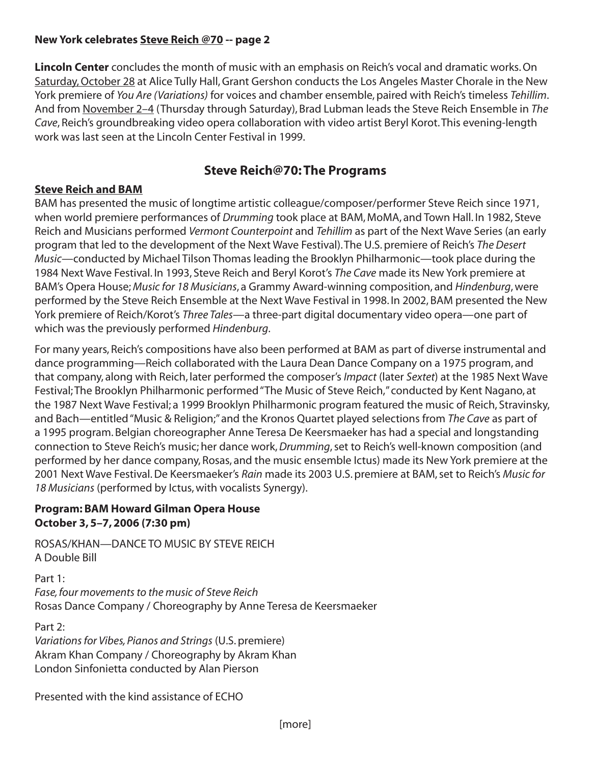**Lincoln Center** concludes the month of music with an emphasis on Reich's vocal and dramatic works. On Saturday, October 28 at Alice Tully Hall, Grant Gershon conducts the Los Angeles Master Chorale in the New York premiere of *You Are (Variations)* for voices and chamber ensemble, paired with Reich's timeless *Tehillim*. And from November 2–4 (Thursday through Saturday), Brad Lubman leads the Steve Reich Ensemble in *The Cave*, Reich's groundbreaking video opera collaboration with video artist Beryl Korot. This evening-length work was last seen at the Lincoln Center Festival in 1999.

# **Steve Reich@70: The Programs**

## **Steve Reich and BAM**

BAM has presented the music of longtime artistic colleague/composer/performer Steve Reich since 1971, when world premiere performances of *Drumming* took place at BAM, MoMA, and Town Hall. In 1982, Steve Reich and Musicians performed *Vermont Counterpoint* and *Tehillim* as part of the Next Wave Series (an early program that led to the development of the Next Wave Festival). The U.S. premiere of Reich's *The Desert Music*—conducted by Michael Tilson Thomas leading the Brooklyn Philharmonic—took place during the 1984 Next Wave Festival. In 1993, Steve Reich and Beryl Korot's *The Cave* made its New York premiere at BAM's Opera House; *Music for 18 Musicians*, a Grammy Award-winning composition, and *Hindenburg*, were performed by the Steve Reich Ensemble at the Next Wave Festival in 1998. In 2002, BAM presented the New York premiere of Reich/Korot's *Three Tales*—a three-part digital documentary video opera—one part of which was the previously performed *Hindenburg*.

For many years, Reich's compositions have also been performed at BAM as part of diverse instrumental and dance programming—Reich collaborated with the Laura Dean Dance Company on a 1975 program, and that company, along with Reich, later performed the composer's *Impact* (later *Sextet*) at the 1985 Next Wave Festival; The Brooklyn Philharmonic performed "The Music of Steve Reich," conducted by Kent Nagano, at the 1987 Next Wave Festival; a 1999 Brooklyn Philharmonic program featured the music of Reich, Stravinsky, and Bach—entitled "Music & Religion;" and the Kronos Quartet played selections from *The Cave* as part of a 1995 program. Belgian choreographer Anne Teresa De Keersmaeker has had a special and longstanding connection to Steve Reich's music; her dance work, *Drumming*, set to Reich's well-known composition (and performed by her dance company, Rosas, and the music ensemble Ictus) made its New York premiere at the 2001 Next Wave Festival. De Keersmaeker's *Rain* made its 2003 U.S. premiere at BAM, set to Reich's *Music for 18 Musicians* (performed by Ictus, with vocalists Synergy).

#### **Program: BAM Howard Gilman Opera House October 3, 5–7, 2006 (7:30 pm)**

ROSAS/KHAN—DANCE TO MUSIC BY STEVE REICH A Double Bill

Part 1: *Fase, four movements to the music of Steve Reich* Rosas Dance Company / Choreography by Anne Teresa de Keersmaeker

Part 2: *Variations for Vibes, Pianos and Strings* (U.S. premiere) Akram Khan Company / Choreography by Akram Khan London Sinfonietta conducted by Alan Pierson

Presented with the kind assistance of ECHO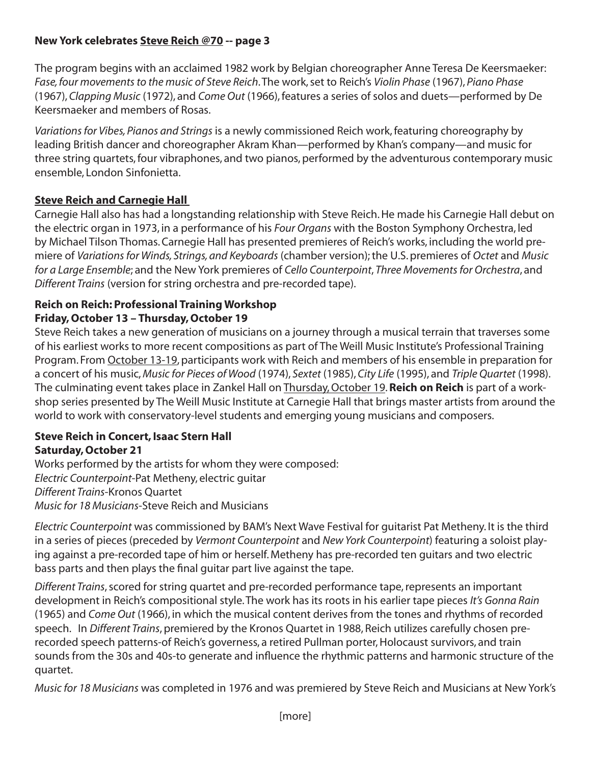The program begins with an acclaimed 1982 work by Belgian choreographer Anne Teresa De Keersmaeker: *Fase, four movements to the music of Steve Reich*. The work, set to Reich's *Violin Phase* (1967), *Piano Phase* (1967), *Clapping Music* (1972), and *Come Out* (1966), features a series of solos and duets—performed by De Keersmaeker and members of Rosas.

*Variations for Vibes, Pianos and Strings* is a newly commissioned Reich work, featuring choreography by leading British dancer and choreographer Akram Khan—performed by Khan's company—and music for three string quartets, four vibraphones, and two pianos, performed by the adventurous contemporary music ensemble, London Sinfonietta.

# **Steve Reich and Carnegie Hall**

Carnegie Hall also has had a longstanding relationship with Steve Reich. He made his Carnegie Hall debut on the electric organ in 1973, in a performance of his *Four Organs* with the Boston Symphony Orchestra, led by Michael Tilson Thomas. Carnegie Hall has presented premieres of Reich's works, including the world premiere of *Variations for Winds, Strings, and Keyboards* (chamber version); the U.S. premieres of *Octet* and *Music for a Large Ensemble*; and the New York premieres of *Cello Counterpoint*, *Three Movements for Orchestra*, and *Different Trains* (version for string orchestra and pre-recorded tape).

## **Reich on Reich: Professional Training Workshop Friday, October 13 – Thursday, October 19**

Steve Reich takes a new generation of musicians on a journey through a musical terrain that traverses some of his earliest works to more recent compositions as part of The Weill Music Institute's Professional Training Program. From October 13-19, participants work with Reich and members of his ensemble in preparation for a concert of his music, *Music for Pieces of Wood* (1974), *Sextet* (1985), *City Life* (1995), and *Triple Quartet* (1998). The culminating event takes place in Zankel Hall on Thursday, October 19. **Reich on Reich** is part of a workshop series presented by The Weill Music Institute at Carnegie Hall that brings master artists from around the world to work with conservatory-level students and emerging young musicians and composers.

#### **Steve Reich in Concert, Isaac Stern Hall Saturday, October 21**

Works performed by the artists for whom they were composed: *Electric Counterpoint*-Pat Metheny, electric guitar *Different Trains*-Kronos Quartet *Music for 18 Musicians*-Steve Reich and Musicians

*Electric Counterpoint* was commissioned by BAM's Next Wave Festival for guitarist Pat Metheny. It is the third in a series of pieces (preceded by *Vermont Counterpoint* and *New York Counterpoint*) featuring a soloist playing against a pre-recorded tape of him or herself. Metheny has pre-recorded ten guitars and two electric bass parts and then plays the final guitar part live against the tape.

*Different Trains*, scored for string quartet and pre-recorded performance tape, represents an important development in Reich's compositional style. The work has its roots in his earlier tape pieces *It's Gonna Rain* (1965) and *Come Out* (1966), in which the musical content derives from the tones and rhythms of recorded speech. In *Different Trains*, premiered by the Kronos Quartet in 1988, Reich utilizes carefully chosen prerecorded speech patterns-of Reich's governess, a retired Pullman porter, Holocaust survivors, and train sounds from the 30s and 40s-to generate and influence the rhythmic patterns and harmonic structure of the quartet.

*Music for 18 Musicians* was completed in 1976 and was premiered by Steve Reich and Musicians at New York's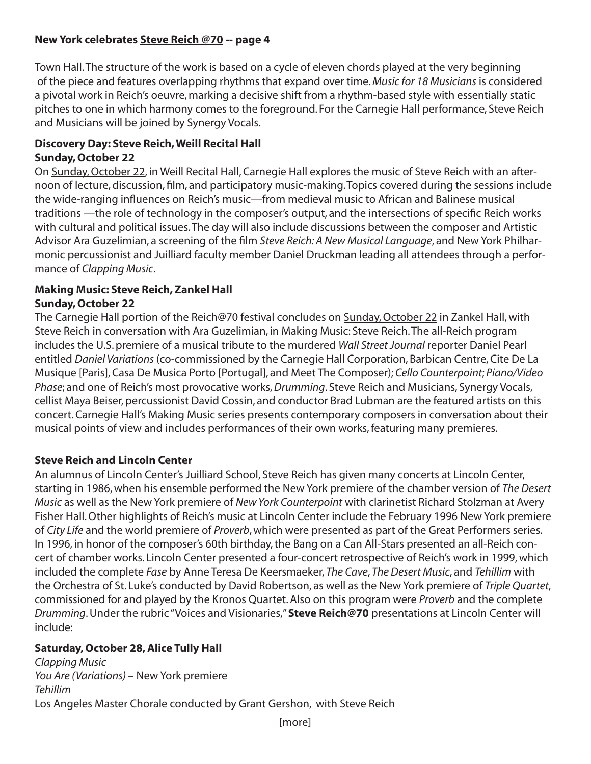Town Hall. The structure of the work is based on a cycle of eleven chords played at the very beginning of the piece and features overlapping rhythms that expand over time. *Music for 18 Musicians* is considered a pivotal work in Reich's oeuvre, marking a decisive shift from a rhythm-based style with essentially static pitches to one in which harmony comes to the foreground. For the Carnegie Hall performance, Steve Reich and Musicians will be joined by Synergy Vocals.

## **Discovery Day: Steve Reich, Weill Recital Hall Sunday, October 22**

On Sunday, October 22, in Weill Recital Hall, Carnegie Hall explores the music of Steve Reich with an afternoon of lecture, discussion, film, and participatory music-making. Topics covered during the sessions include the wide-ranging influences on Reich's music—from medieval music to African and Balinese musical traditions —the role of technology in the composer's output, and the intersections of specific Reich works with cultural and political issues. The day will also include discussions between the composer and Artistic Advisor Ara Guzelimian, a screening of the film *Steve Reich: A New Musical Language*, and New York Philharmonic percussionist and Juilliard faculty member Daniel Druckman leading all attendees through a performance of *Clapping Music*.

## **Making Music: Steve Reich, Zankel Hall Sunday, October 22**

The Carnegie Hall portion of the Reich@70 festival concludes on Sunday, October 22 in Zankel Hall, with Steve Reich in conversation with Ara Guzelimian, in Making Music: Steve Reich. The all-Reich program includes the U.S. premiere of a musical tribute to the murdered *Wall Street Journal* reporter Daniel Pearl entitled *Daniel Variations* (co-commissioned by the Carnegie Hall Corporation, Barbican Centre, Cite De La Musique [Paris], Casa De Musica Porto [Portugal], and Meet The Composer); *Cello Counterpoint*; *Piano/Video Phase*; and one of Reich's most provocative works, *Drumming*. Steve Reich and Musicians, Synergy Vocals, cellist Maya Beiser, percussionist David Cossin, and conductor Brad Lubman are the featured artists on this concert. Carnegie Hall's Making Music series presents contemporary composers in conversation about their musical points of view and includes performances of their own works, featuring many premieres.

# **Steve Reich and Lincoln Center**

An alumnus of Lincoln Center's Juilliard School, Steve Reich has given many concerts at Lincoln Center, starting in 1986, when his ensemble performed the New York premiere of the chamber version of *The Desert Music* as well as the New York premiere of *New York Counterpoint* with clarinetist Richard Stolzman at Avery Fisher Hall. Other highlights of Reich's music at Lincoln Center include the February 1996 New York premiere of *City Life* and the world premiere of *Proverb*, which were presented as part of the Great Performers series. In 1996, in honor of the composer's 60th birthday, the Bang on a Can All-Stars presented an all-Reich concert of chamber works. Lincoln Center presented a four-concert retrospective of Reich's work in 1999, which included the complete *Fase* by Anne Teresa De Keersmaeker, *The Cave*, *The Desert Music*, and *Tehillim* with the Orchestra of St. Luke's conducted by David Robertson, as well as the New York premiere of *Triple Quartet*, commissioned for and played by the Kronos Quartet. Also on this program were *Proverb* and the complete *Drumming*. Under the rubric "Voices and Visionaries," **Steve Reich@70** presentations at Lincoln Center will include:

# **Saturday, October 28, Alice Tully Hall**

*Clapping Music You Are (Variations)* – New York premiere *Tehillim*  Los Angeles Master Chorale conducted by Grant Gershon, with Steve Reich

[more]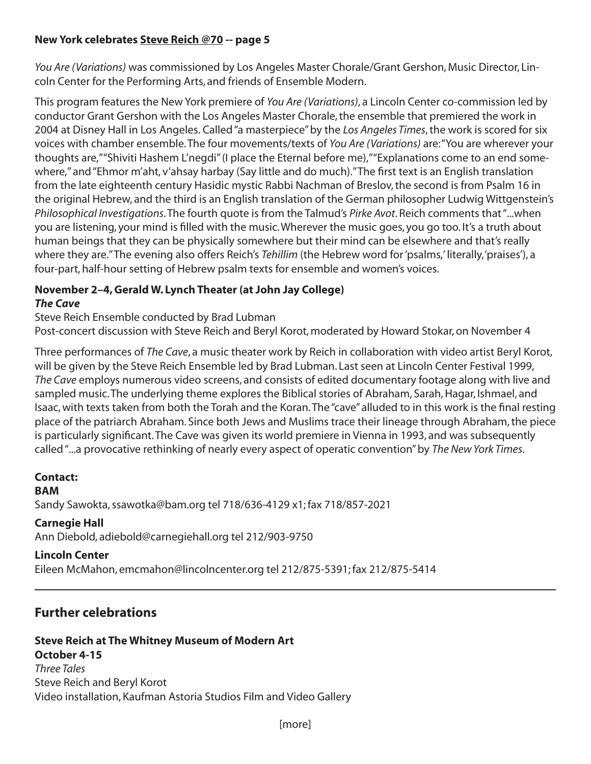*You Are (Variations)* was commissioned by Los Angeles Master Chorale/Grant Gershon, Music Director, Lincoln Center for the Performing Arts, and friends of Ensemble Modern.

This program features the New York premiere of *You Are (Variations)*, a Lincoln Center co-commission led by conductor Grant Gershon with the Los Angeles Master Chorale, the ensemble that premiered the work in 2004 at Disney Hall in Los Angeles. Called "a masterpiece" by the *Los Angeles Times*, the work is scored for six voices with chamber ensemble. The four movements/texts of *You Are (Variations)* are: "You are wherever your thoughts are," "Shiviti Hashem L'negdi" (I place the Eternal before me)," "Explanations come to an end somewhere," and "Ehmor m'aht, v'ahsay harbay (Say little and do much)." The first text is an English translation from the late eighteenth century Hasidic mystic Rabbi Nachman of Breslov, the second is from Psalm 16 in the original Hebrew, and the third is an English translation of the German philosopher Ludwig Wittgenstein's *Philosophical Investigations*. The fourth quote is from the Talmud's *Pirke Avot*. Reich comments that "...when you are listening, your mind is filled with the music. Wherever the music goes, you go too. It's a truth about human beings that they can be physically somewhere but their mind can be elsewhere and that's really where they are." The evening also offers Reich's *Tehillim* (the Hebrew word for 'psalms,' literally, 'praises'), a four-part, half-hour setting of Hebrew psalm texts for ensemble and women's voices.

# **November 2–4, Gerald W. Lynch Theater (at John Jay College)**

### *The Cave*

Steve Reich Ensemble conducted by Brad Lubman

Post-concert discussion with Steve Reich and Beryl Korot, moderated by Howard Stokar, on November 4

Three performances of *The Cave*, a music theater work by Reich in collaboration with video artist Beryl Korot, will be given by the Steve Reich Ensemble led by Brad Lubman. Last seen at Lincoln Center Festival 1999, *The Cave* employs numerous video screens, and consists of edited documentary footage along with live and sampled music. The underlying theme explores the Biblical stories of Abraham, Sarah, Hagar, Ishmael, and Isaac, with texts taken from both the Torah and the Koran. The "cave" alluded to in this work is the final resting place of the patriarch Abraham. Since both Jews and Muslims trace their lineage through Abraham, the piece is particularly significant. The Cave was given its world premiere in Vienna in 1993, and was subsequently called "...a provocative rethinking of nearly every aspect of operatic convention" by *The New York Times*.

# **Contact:**

#### **BAM**

Sandy Sawokta, ssawotka@bam.org tel 718/636-4129 x1; fax 718/857-2021

#### **Carnegie Hall**

Ann Diebold, adiebold@carnegiehall.org tel 212/903-9750

#### **Lincoln Center**

Eileen McMahon, emcmahon@lincolncenter.org tel 212/875-5391; fax 212/875-5414

# **Further celebrations**

# **Steve Reich at The Whitney Museum of Modern Art October 4-15**

*Three Tales*  Steve Reich and Beryl Korot Video installation, Kaufman Astoria Studios Film and Video Gallery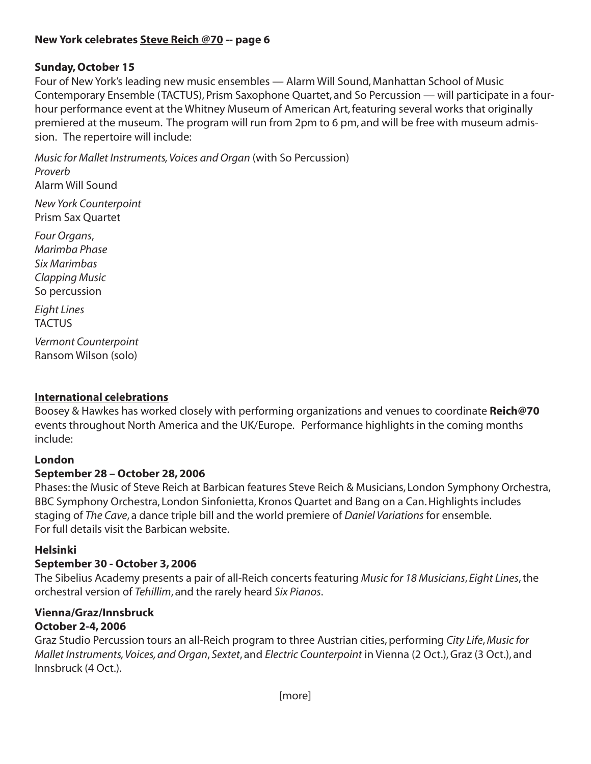# **Sunday, October 15**

Four of New York's leading new music ensembles — Alarm Will Sound, Manhattan School of Music Contemporary Ensemble (TACTUS), Prism Saxophone Quartet, and So Percussion — will participate in a fourhour performance event at the Whitney Museum of American Art, featuring several works that originally premiered at the museum. The program will run from 2pm to 6 pm, and will be free with museum admission. The repertoire will include:

*Music for Mallet Instruments, Voices and Organ* (with So Percussion) *Proverb* Alarm Will Sound

*New York Counterpoint* Prism Sax Quartet

*Four Organs*, *Marimba Phase Six Marimbas Clapping Music* So percussion

*Eight Lines* **TACTUS** 

*Vermont Counterpoint* Ransom Wilson (solo)

# **International celebrations**

Boosey & Hawkes has worked closely with performing organizations and venues to coordinate **Reich@70** events throughout North America and the UK/Europe. Performance highlights in the coming months include:

# **London**

# **September 28 – October 28, 2006**

Phases: the Music of Steve Reich at Barbican features Steve Reich & Musicians, London Symphony Orchestra, BBC Symphony Orchestra, London Sinfonietta, Kronos Quartet and Bang on a Can. Highlights includes staging of *The Cave*, a dance triple bill and the world premiere of *Daniel Variations* for ensemble. For full details visit the Barbican website.

# **Helsinki**

# **September 30 - October 3, 2006**

The Sibelius Academy presents a pair of all-Reich concerts featuring *Music for 18 Musicians*, *Eight Lines*, the orchestral version of *Tehillim*, and the rarely heard *Six Pianos*.

#### **Vienna/Graz/Innsbruck October 2-4, 2006**

Graz Studio Percussion tours an all-Reich program to three Austrian cities, performing *City Life*, *Music for Mallet Instruments, Voices, and Organ*, *Sextet*, and *Electric Counterpoint* in Vienna (2 Oct.), Graz (3 Oct.), and Innsbruck (4 Oct.).